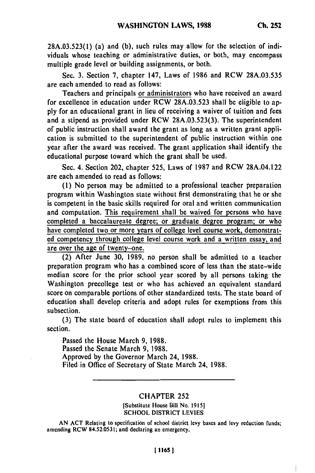**28A.03.523(1)** (a) and **(b),** such rules may allow for the selection of individuals whose teaching or administrative duties, or both, may encompass multiple grade level or building assignments, or both.

Sec. **3.** Section **7,** chapter 147, Laws of **1986** and RCW **28A.03.535** are each amended to read as follows:

Teachers and principals or administrators who have received an award for excellence in education under RCW **28A.03.523** shall be eligible to ap**ply** for an educational grant in lieu of receiving a waiver of tuition and fees and a stipend as provided under RCW **28A.03.523(3).** The superintendent of public instruction shall award the grant as long as a written grant application is submitted to the superintendent of public instruction within one year after the award was received. The grant application shall identify the educational purpose toward which the grant shall be used.

Sec. 4. Section 202, chapter **525,** Laws of **1987** and RCW 28A.04.122 are each amended to read as follows:

**(1)** No person may be admitted to a professional teacher preparation program within Washington state without first demonstrating that he or she is competent in the basic skills required for oral and written communication and computation. This requirement shall be waived for persons who have completed a baccalaureate degree; or graduate degree program; or who have completed two or more years of college level course work, demonstrat**ed** competency through college level course work and a written essay, and are over the age of twenty-one.

(2) After June **30, 1989,** no person shall be admitted to a teacher preparation program who has a combined score of less than the state-wide median score for the prior school year scored **by** all persons taking the Washington precollege test or who has achieved an equivalent standard score on comparable portions of other standardized tests. The state board of education shall develop criteria and adopt rules for exemptions from this subsection.

**(3)** The state board of education shall adopt rules to implement this section.

Passed the House March **9, 1988.** Passed the Senate March **9, 1988.** Approved **by** the Governor March 24, **1988.** Filed in Office of Secretary of State March 24, **1988.**

## CHAPTER **252**

[Substitute House Bill No. **1915]** SCHOOL DIGEDIATE LEVIES

**AN ACT** Relating to specification of school district levy bases and levy reduction funds; amending RCW **84.52.0531;** and declaring an emergency.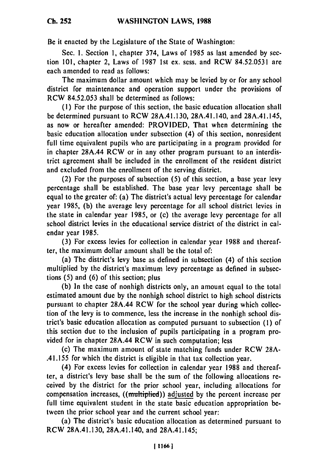**Ch. 252**

Be it enacted by the Legislature of the State of Washington:

Sec. **1.** Section **1,** chapter 374, Laws of 1985 as last amended **by** section 101, chapter 2, Laws of **1987** 1st ex. sess. and RCW 84.52.0531 are each amended to read as follows:

The maximum dollar amount which may be levied **by** or for any school district for maintenance and operation support under the provisions of RCW 84.52.053 shall be determined as follows:

**(1)** For the purpose of this section, the basic education allocation shall be determined pursuant to RCW 28A.41.130, 28A.41.140, and 28A.41.145, as now or hereafter amended: PROVIDED, That when determining the basic education allocation under subsection (4) of this section, nonresident full time equivalent pupils who are participating in a program provided for in chapter 28A.44 RCW or in any other program pursuant to an interdistrict agreement shall be included in the enrollment of the resident district and excluded from the enrollment of the serving district.

(2) For the purposes of subsection (5) of this section, a base year levy percentage shall be established. The base year levy percentage shall be equal to the greater of: (a) The district's actual levy percentage for calendar year **1985,** (b) the average levy percentage for all school district levies in the state in calendar year 1985, or (c) the average levy percentage for all school district levies in the educational service district of the district in calendar year **1985.**

(3) For excess levies for collection in calendar year 1988 and thereafter, the maximum dollar amount shall be the total of:

(a) The district's levy base as defined in subsection (4) of this section multiplied **by** the district's maximum levy percentage as defined in subsections **(5)** and (6) of this section; plus

(b) In the case of nonhigh districts only, an amount equal to the total estimated amount due **by** the nonhigh school district to high school districts pursuant to chapter 28A.44 RCW for the school year during which collection of the levy is to commence, less the increase in the nonhigh school district's basic education allocation as computed pursuant to subsection (1) of this section due to the inclusion of pupils participating in a program provided for in chapter 28A.44 RCW in such computation; less

(c) The maximum amount of state matching funds under RCW 28A- .41.155 for which the district is eligible in that tax collection year.

(4) For excess levies for collection in calendar year **1988** and thereafter, a district's levy base shall be the sum of the following allocations received **by** the district for the prior school year, including allocations for compensation increases, ((miltiplied)) adjusted **by** the percent increase per full time equivalent student in the state basic education appropriation between the prior school year and the current school year:

(a) The district's basic education allocation as determined pursuant to RCW 28A.41.130, 28A.41.140, and 28A.41.145;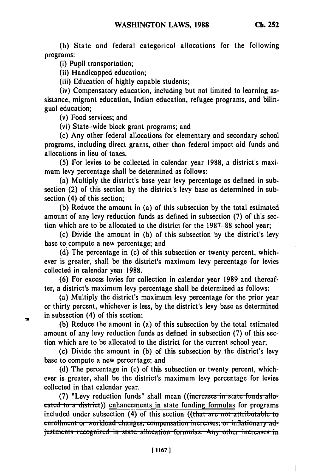**(b)** State and federal categorical allocations for the following programs:

(i) Pupil transportation;

(ii) Handicapped education;

(iii) Education of **highly** capable students;

(iv) Compensatory education, including but not limited to learning assistance, migrant education, Indian education, refugee programs, and bilingual education;

(v) Food services; and

(vi) State-wide block grant programs; and

(c) Any other federal allocations for elementary and secondary school programs, including direct grants, other than federal impact aid funds and allocations in lieu of taxes.

**(5)** For levies to be collected in calendar year **1988,** a district's maximum levy percentage shall be determined as follows:

(a) Multiply the district's base year levy percentage as defined in subsection (2) of this section **by** the district's levy base as determined in subsection (4) of this section;

**(b)** Reduce the amount in (a) of this subsection **by** the total estimated amount of any levy reduction funds as defined in subsection **(7)** of this section which are to be allocated to the district for the **1987-88** school year;

(c) Divide the amount in **(b)** of this subsection **by** the district's levy base to compute a new percentage; and

**(d)** The percentage in (c) of this subsection or twenty percent, whichever is greater, shall be the district's maximum levy percentage for levies collected in calendar year **1988.**

**(6)** For excess levies for collection in calendar year **1989** and thereafter, a district's maximum levy percentage shall be determined as follows:

(a) Multiply the district's maximum levy percentage for the prior year or thirty percent, whichever is less, **by** the district's levy base as determined in subsection (4) of this section;

**(b)** Reduce the amount in (a) of this subsection **by** the total estimated amount of any levy reduction funds as defined in subsection **(7)** of this section which are to be allocated to the district for the current school year;

(c) Divide the amount in **(b)** of this subsection **by** the district's levy base to compute a new percentage; and

**(d)** The percentage in (c) of this subsection or twenty percent, whichever is greater, shall be the district's maximum levy percentage for levies collected in that calendar year.

(7) "Levy reduction funds" shall mean ((increases in state funds allo**cated to a district))** enhancements in state funding formulas for programs included under subsection (4) of this section ((that are not attributable to **enrollment or workload changes, compensation increases, or inflationary ad**